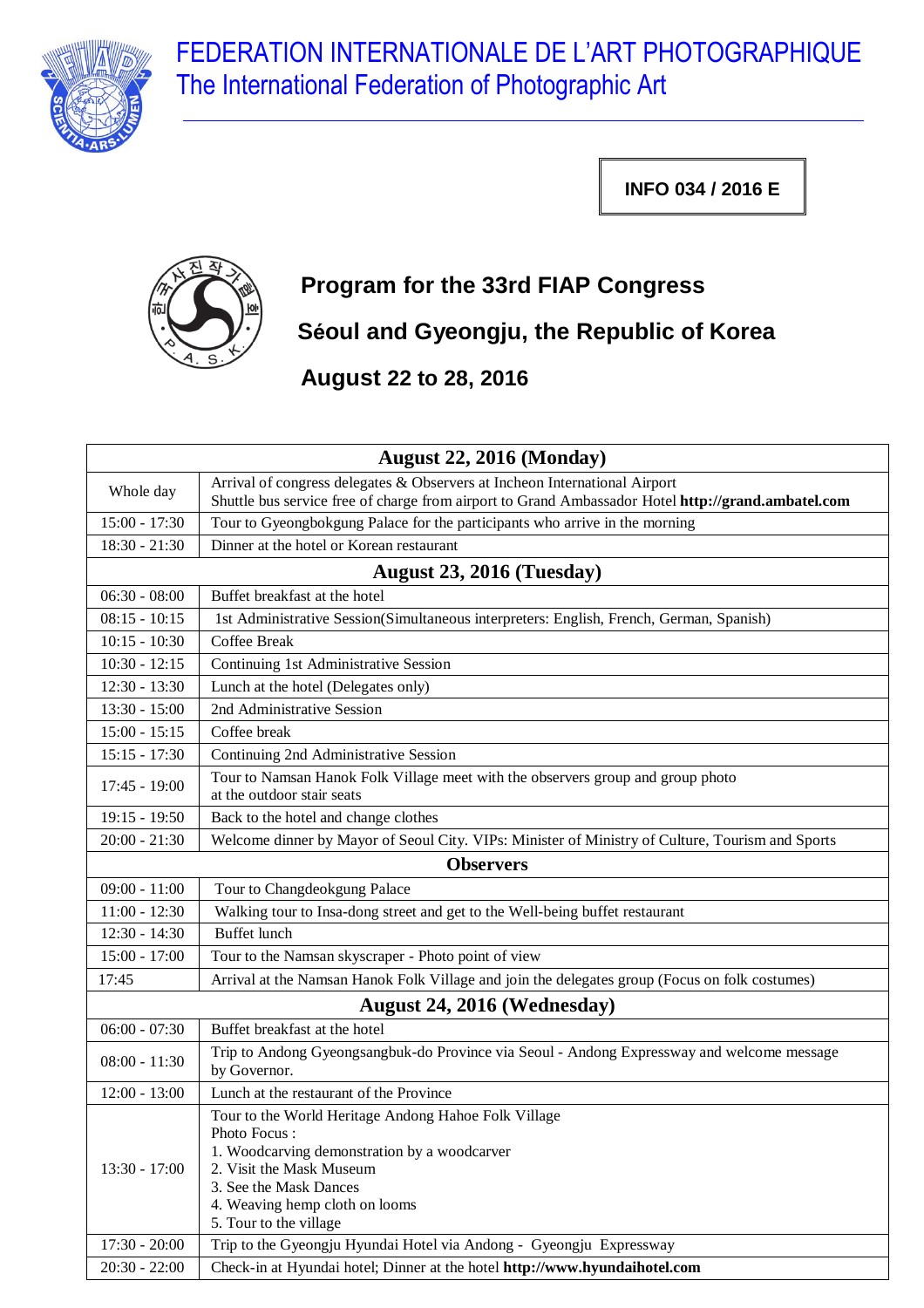

FEDERATION INTERNATIONALE DE L'ART PHOTOGRAPHIQUE The International Federation of Photographic Art

**INFO 034 / 2016 E**



## **Program for the 33rd FIAP Congress Séoul and Gyeongju, the Republic of Korea**

**August 22 to 28, 2016**

| <b>August 22, 2016 (Monday)</b> |                                                                                                                                                                                                                                        |  |
|---------------------------------|----------------------------------------------------------------------------------------------------------------------------------------------------------------------------------------------------------------------------------------|--|
| Whole day                       | Arrival of congress delegates & Observers at Incheon International Airport                                                                                                                                                             |  |
|                                 | Shuttle bus service free of charge from airport to Grand Ambassador Hotel http://grand.ambatel.com                                                                                                                                     |  |
| $15:00 - 17:30$                 | Tour to Gyeongbokgung Palace for the participants who arrive in the morning                                                                                                                                                            |  |
| $18:30 - 21:30$                 | Dinner at the hotel or Korean restaurant                                                                                                                                                                                               |  |
|                                 | August 23, 2016 (Tuesday)                                                                                                                                                                                                              |  |
| $06:30 - 08:00$                 | Buffet breakfast at the hotel                                                                                                                                                                                                          |  |
| $08:15 - 10:15$                 | 1st Administrative Session(Simultaneous interpreters: English, French, German, Spanish)                                                                                                                                                |  |
| $10:15 - 10:30$                 | Coffee Break                                                                                                                                                                                                                           |  |
| $10:30 - 12:15$                 | Continuing 1st Administrative Session                                                                                                                                                                                                  |  |
| $12:30 - 13:30$                 | Lunch at the hotel (Delegates only)                                                                                                                                                                                                    |  |
| $13:30 - 15:00$                 | 2nd Administrative Session                                                                                                                                                                                                             |  |
| $15:00 - 15:15$                 | Coffee break                                                                                                                                                                                                                           |  |
| $15:15 - 17:30$                 | Continuing 2nd Administrative Session                                                                                                                                                                                                  |  |
| $17:45 - 19:00$                 | Tour to Namsan Hanok Folk Village meet with the observers group and group photo<br>at the outdoor stair seats                                                                                                                          |  |
| $19:15 - 19:50$                 | Back to the hotel and change clothes                                                                                                                                                                                                   |  |
| $20:00 - 21:30$                 | Welcome dinner by Mayor of Seoul City. VIPs: Minister of Ministry of Culture, Tourism and Sports                                                                                                                                       |  |
| <b>Observers</b>                |                                                                                                                                                                                                                                        |  |
| $09:00 - 11:00$                 | Tour to Changdeokgung Palace                                                                                                                                                                                                           |  |
| $11:00 - 12:30$                 | Walking tour to Insa-dong street and get to the Well-being buffet restaurant                                                                                                                                                           |  |
| $12:30 - 14:30$                 | <b>Buffet</b> lunch                                                                                                                                                                                                                    |  |
| $15:00 - 17:00$                 | Tour to the Namsan skyscraper - Photo point of view                                                                                                                                                                                    |  |
| 17:45                           | Arrival at the Namsan Hanok Folk Village and join the delegates group (Focus on folk costumes)                                                                                                                                         |  |
| August 24, 2016 (Wednesday)     |                                                                                                                                                                                                                                        |  |
| $06:00 - 07:30$                 | Buffet breakfast at the hotel                                                                                                                                                                                                          |  |
| $08:00 - 11:30$                 | Trip to Andong Gyeongsangbuk-do Province via Seoul - Andong Expressway and welcome message<br>by Governor.                                                                                                                             |  |
| $12:00 - 13:00$                 | Lunch at the restaurant of the Province                                                                                                                                                                                                |  |
| 13:30 - 17:00                   | Tour to the World Heritage Andong Hahoe Folk Village<br>Photo Focus:<br>1. Woodcarving demonstration by a woodcarver<br>2. Visit the Mask Museum<br>3. See the Mask Dances<br>4. Weaving hemp cloth on looms<br>5. Tour to the village |  |
| $17:30 - 20:00$                 | Trip to the Gyeongju Hyundai Hotel via Andong - Gyeongju Expressway                                                                                                                                                                    |  |
| $20:30 - 22:00$                 | Check-in at Hyundai hotel; Dinner at the hotel http://www.hyundaihotel.com                                                                                                                                                             |  |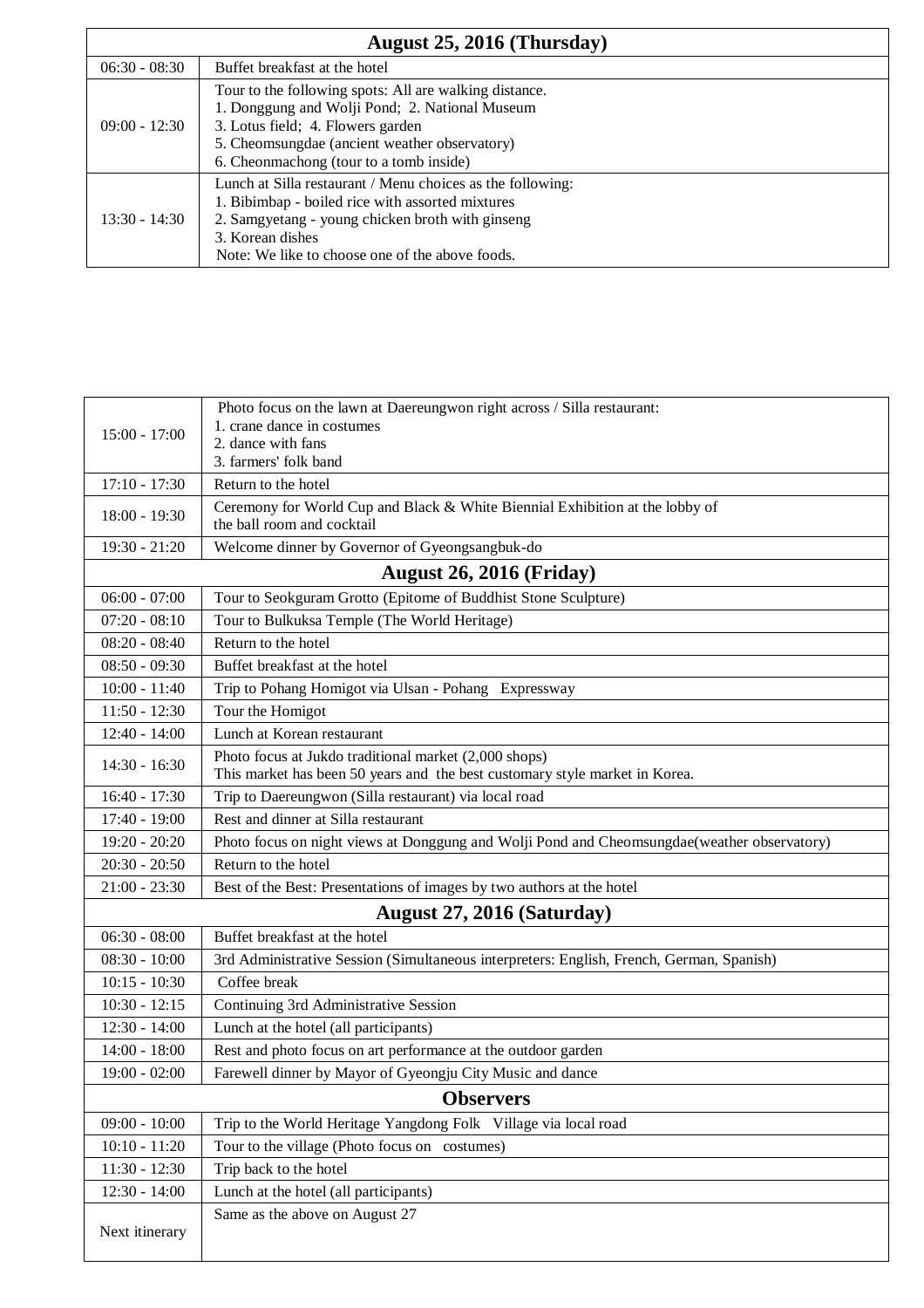| August 25, 2016 (Thursday) |                                                                                                                                                                                                                                           |  |
|----------------------------|-------------------------------------------------------------------------------------------------------------------------------------------------------------------------------------------------------------------------------------------|--|
| $06:30 - 08:30$            | Buffet breakfast at the hotel                                                                                                                                                                                                             |  |
| $09:00 - 12:30$            | Tour to the following spots: All are walking distance.<br>1. Donggung and Wolji Pond; 2. National Museum<br>3. Lotus field; 4. Flowers garden<br>5. Cheomsungdae (ancient weather observatory)<br>6. Cheonmachong (tour to a tomb inside) |  |
| $13:30 - 14:30$            | Lunch at Silla restaurant / Menu choices as the following:<br>1. Bibimbap - boiled rice with assorted mixtures<br>2. Samgyetang - young chicken broth with ginseng<br>3. Korean dishes<br>Note: We like to choose one of the above foods. |  |

| $15:00 - 17:00$  | Photo focus on the lawn at Daereungwon right across / Silla restaurant:<br>1. crane dance in costumes<br>2. dance with fans<br>3. farmers' folk band |
|------------------|------------------------------------------------------------------------------------------------------------------------------------------------------|
| $17:10 - 17:30$  | Return to the hotel                                                                                                                                  |
| $18:00 - 19:30$  | Ceremony for World Cup and Black & White Biennial Exhibition at the lobby of<br>the ball room and cocktail                                           |
| $19:30 - 21:20$  | Welcome dinner by Governor of Gyeongsangbuk-do                                                                                                       |
|                  | <b>August 26, 2016 (Friday)</b>                                                                                                                      |
| $06:00 - 07:00$  | Tour to Seokguram Grotto (Epitome of Buddhist Stone Sculpture)                                                                                       |
| $07:20 - 08:10$  | Tour to Bulkuksa Temple (The World Heritage)                                                                                                         |
| $08:20 - 08:40$  | Return to the hotel                                                                                                                                  |
| $08:50 - 09:30$  | Buffet breakfast at the hotel                                                                                                                        |
| $10:00 - 11:40$  | Trip to Pohang Homigot via Ulsan - Pohang Expressway                                                                                                 |
| $11:50 - 12:30$  | Tour the Homigot                                                                                                                                     |
| $12:40 - 14:00$  | Lunch at Korean restaurant                                                                                                                           |
| $14:30 - 16:30$  | Photo focus at Jukdo traditional market (2,000 shops)<br>This market has been 50 years and the best customary style market in Korea.                 |
| 16:40 - 17:30    | Trip to Daereungwon (Silla restaurant) via local road                                                                                                |
| $17:40 - 19:00$  | Rest and dinner at Silla restaurant                                                                                                                  |
| $19:20 - 20:20$  | Photo focus on night views at Donggung and Wolji Pond and Cheomsungdae(weather observatory)                                                          |
| $20:30 - 20:50$  | Return to the hotel                                                                                                                                  |
| $21:00 - 23:30$  | Best of the Best: Presentations of images by two authors at the hotel                                                                                |
|                  | August 27, 2016 (Saturday)                                                                                                                           |
| $06:30 - 08:00$  | Buffet breakfast at the hotel                                                                                                                        |
| $08:30 - 10:00$  | 3rd Administrative Session (Simultaneous interpreters: English, French, German, Spanish)                                                             |
| $10:15 - 10:30$  | Coffee break                                                                                                                                         |
| $10:30 - 12:15$  | Continuing 3rd Administrative Session                                                                                                                |
| $12:30 - 14:00$  | Lunch at the hotel (all participants)                                                                                                                |
| $14:00 - 18:00$  | Rest and photo focus on art performance at the outdoor garden                                                                                        |
| $19:00 - 02:00$  | Farewell dinner by Mayor of Gyeongju City Music and dance                                                                                            |
| <b>Observers</b> |                                                                                                                                                      |
| $09:00 - 10:00$  | Trip to the World Heritage Yangdong Folk Village via local road                                                                                      |
| $10:10 - 11:20$  | Tour to the village (Photo focus on costumes)                                                                                                        |
| $11:30 - 12:30$  | Trip back to the hotel                                                                                                                               |
| $12:30 - 14:00$  | Lunch at the hotel (all participants)                                                                                                                |
| Next itinerary   | Same as the above on August 27                                                                                                                       |